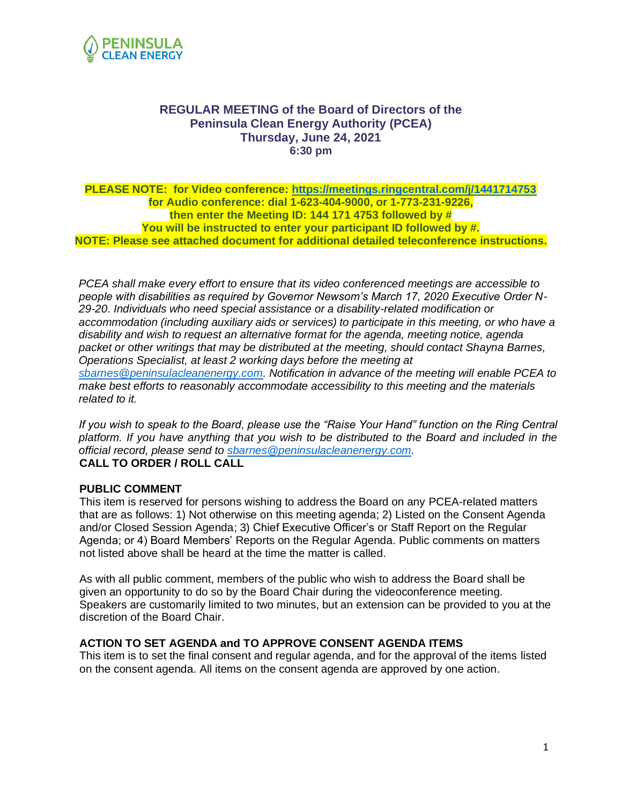

#### **REGULAR MEETING of the Board of Directors of the Peninsula Clean Energy Authority (PCEA) Thursday, June 24, 2021 6:30 pm**

#### **PLEASE NOTE: for Video conference: [https://meetings.ringcentral.com/j/1441714753](https://www.google.com/url?q=https://meetings.ringcentral.com/j/1441714753&sa=D&source=calendar&ust=1623873099512000&usg=AOvVaw1Tofqx-_2O552W9ReXPqmt) for Audio conference: dial 1-623-404-9000, or 1-773-231-9226, then enter the Meeting ID: 144 171 4753 followed by # You will be instructed to enter your participant ID followed by #. NOTE: Please see attached document for additional detailed teleconference instructions.**

*PCEA shall make every effort to ensure that its video conferenced meetings are accessible to people with disabilities as required by Governor Newsom's March 17, 2020 Executive Order N-29-20. Individuals who need special assistance or a disability-related modification or accommodation (including auxiliary aids or services) to participate in this meeting, or who have a disability and wish to request an alternative format for the agenda, meeting notice, agenda packet or other writings that may be distributed at the meeting, should contact Shayna Barnes, Operations Specialist, at least 2 working days before the meeting at [sbarnes@peninsulacleanenergy.com.](mailto:sbarnes@peninsulacleanenergy.com) Notification in advance of the meeting will enable PCEA to make best efforts to reasonably accommodate accessibility to this meeting and the materials related to it.*

*If you wish to speak to the Board, please use the "Raise Your Hand" function on the Ring Central platform. If you have anything that you wish to be distributed to the Board and included in the official record, please send to [sbarnes@peninsulacleanenergy.com.](mailto:sbarnes@peninsulacleanenergy.com)* **CALL TO ORDER / ROLL CALL**

#### **PUBLIC COMMENT**

This item is reserved for persons wishing to address the Board on any PCEA-related matters that are as follows: 1) Not otherwise on this meeting agenda; 2) Listed on the Consent Agenda and/or Closed Session Agenda; 3) Chief Executive Officer's or Staff Report on the Regular Agenda; or 4) Board Members' Reports on the Regular Agenda. Public comments on matters not listed above shall be heard at the time the matter is called.

As with all public comment, members of the public who wish to address the Board shall be given an opportunity to do so by the Board Chair during the videoconference meeting. Speakers are customarily limited to two minutes, but an extension can be provided to you at the discretion of the Board Chair.

#### **ACTION TO SET AGENDA and TO APPROVE CONSENT AGENDA ITEMS**

This item is to set the final consent and regular agenda, and for the approval of the items listed on the consent agenda. All items on the consent agenda are approved by one action.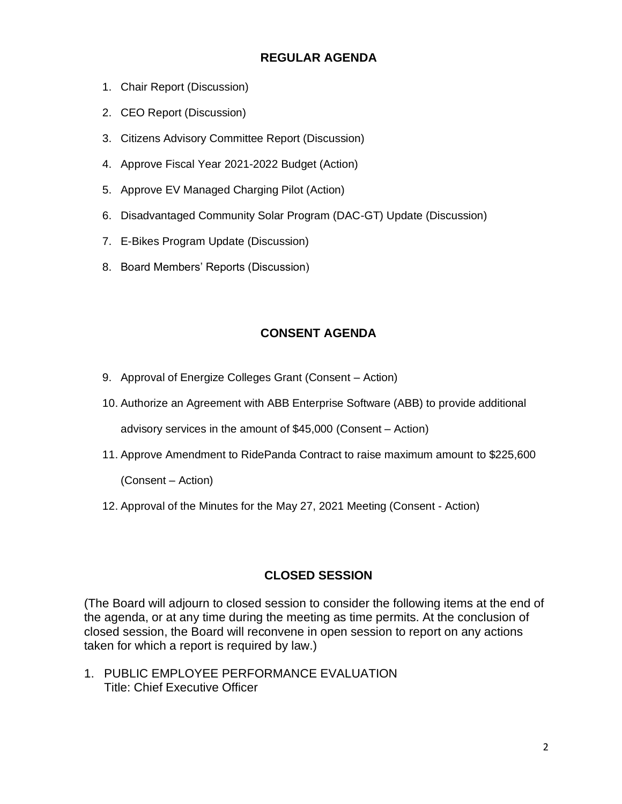## **REGULAR AGENDA**

- 1. Chair Report (Discussion)
- 2. CEO Report (Discussion)
- 3. Citizens Advisory Committee Report (Discussion)
- 4. Approve Fiscal Year 2021-2022 Budget (Action)
- 5. Approve EV Managed Charging Pilot (Action)
- 6. Disadvantaged Community Solar Program (DAC-GT) Update (Discussion)
- 7. E-Bikes Program Update (Discussion)
- 8. Board Members' Reports (Discussion)

#### **CONSENT AGENDA**

- 9. Approval of Energize Colleges Grant (Consent Action)
- 10. Authorize an Agreement with ABB Enterprise Software (ABB) to provide additional advisory services in the amount of \$45,000 (Consent – Action)
- 11. Approve Amendment to RidePanda Contract to raise maximum amount to \$225,600

(Consent – Action)

12. Approval of the Minutes for the May 27, 2021 Meeting (Consent - Action)

## **CLOSED SESSION**

(The Board will adjourn to closed session to consider the following items at the end of the agenda, or at any time during the meeting as time permits. At the conclusion of closed session, the Board will reconvene in open session to report on any actions taken for which a report is required by law.)

1. PUBLIC EMPLOYEE PERFORMANCE EVALUATION Title: Chief Executive Officer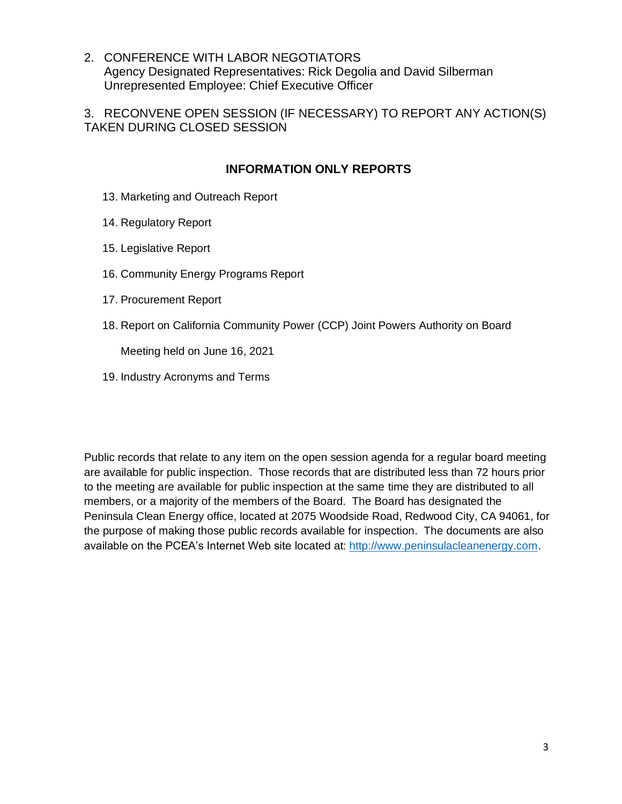2. CONFERENCE WITH LABOR NEGOTIATORS Agency Designated Representatives: Rick Degolia and David Silberman Unrepresented Employee: Chief Executive Officer

3. RECONVENE OPEN SESSION (IF NECESSARY) TO REPORT ANY ACTION(S) TAKEN DURING CLOSED SESSION

## **INFORMATION ONLY REPORTS**

- 13. Marketing and Outreach Report
- 14. Regulatory Report
- 15. Legislative Report
- 16. Community Energy Programs Report
- 17. Procurement Report
- 18. Report on California Community Power (CCP) Joint Powers Authority on Board

Meeting held on June 16, 2021

19. Industry Acronyms and Terms

Public records that relate to any item on the open session agenda for a regular board meeting are available for public inspection. Those records that are distributed less than 72 hours prior to the meeting are available for public inspection at the same time they are distributed to all members, or a majority of the members of the Board. The Board has designated the Peninsula Clean Energy office, located at 2075 Woodside Road, Redwood City, CA 94061, for the purpose of making those public records available for inspection. The documents are also available on the PCEA's Internet Web site located at: [http://www.peninsulacleanenergy.com.](http://www.peninsulacleanenergy.com/)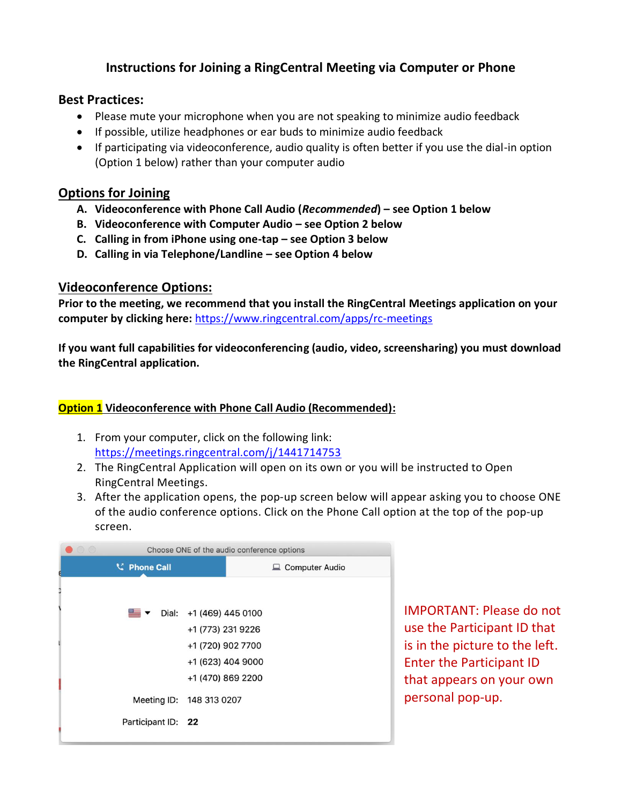# **Instructions for Joining a RingCentral Meeting via Computer or Phone**

### **Best Practices:**

- Please mute your microphone when you are not speaking to minimize audio feedback
- If possible, utilize headphones or ear buds to minimize audio feedback
- If participating via videoconference, audio quality is often better if you use the dial-in option (Option 1 below) rather than your computer audio

## **Options for Joining**

- **A. Videoconference with Phone Call Audio (***Recommended***) – see Option 1 below**
- **B. Videoconference with Computer Audio – see Option 2 below**
- **C. Calling in from iPhone using one-tap – see Option 3 below**
- **D. Calling in via Telephone/Landline – see Option 4 below**

## **Videoconference Options:**

**Prior to the meeting, we recommend that you install the RingCentral Meetings application on your computer by clicking here:** <https://www.ringcentral.com/apps/rc-meetings>

**If you want full capabilities for videoconferencing (audio, video, screensharing) you must download the RingCentral application.** 

## **Option 1 Videoconference with Phone Call Audio (Recommended):**

- 1. From your computer, click on the following link: [https://meetings.ringcentral.com/j/1441714753](https://www.google.com/url?q=https://meetings.ringcentral.com/j/1441714753&sa=D&source=calendar&ust=1623875048110000&usg=AOvVaw0C0C-lkSUkXgRabExPfW8z)
- 2. The RingCentral Application will open on its own or you will be instructed to Open RingCentral Meetings.
- 3. After the application opens, the pop-up screen below will appear asking you to choose ONE of the audio conference options. Click on the Phone Call option at the top of the pop-up screen.

| $\circ$ | Choose ONE of the audio conference options |                                                              |                  |
|---------|--------------------------------------------|--------------------------------------------------------------|------------------|
| ą       | <b>C</b> Phone Call                        |                                                              | □ Computer Audio |
|         |                                            |                                                              |                  |
|         |                                            | $\blacksquare$ $\blacktriangleright$ Dial: +1 (469) 445 0100 |                  |
|         |                                            | +1 (773) 231 9226                                            |                  |
|         |                                            | +1 (720) 902 7700                                            |                  |
|         |                                            | +1 (623) 404 9000                                            |                  |
|         |                                            | +1 (470) 869 2200                                            |                  |
|         |                                            | Meeting ID: 148 313 0207                                     |                  |
|         | Participant ID: 22                         |                                                              |                  |
|         |                                            |                                                              |                  |

IMPORTANT: Please do not use the Participant ID that is in the picture to the left. Enter the Participant ID that appears on your own personal pop-up.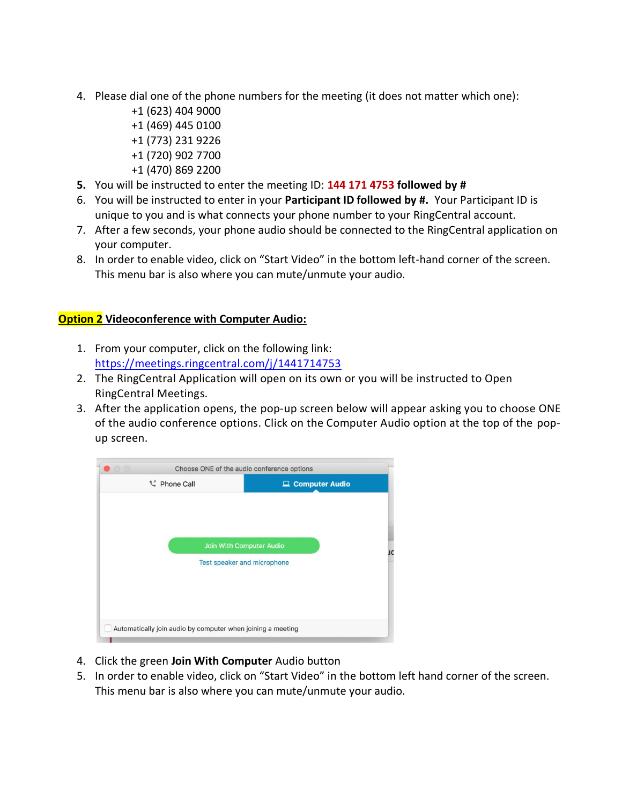- 4. Please dial one of the phone numbers for the meeting (it does not matter which one):
	- +1 (623) 404 9000 +1 (469) 445 0100 +1 (773) 231 9226 +1 (720) 902 7700
	- +1 (470) 869 2200
- **5.** You will be instructed to enter the meeting ID: **144 171 4753 followed by #**
- 6. You will be instructed to enter in your **Participant ID followed by #.** Your Participant ID is unique to you and is what connects your phone number to your RingCentral account.
- 7. After a few seconds, your phone audio should be connected to the RingCentral application on your computer.
- 8. In order to enable video, click on "Start Video" in the bottom left-hand corner of the screen. This menu bar is also where you can mute/unmute your audio.

#### **Option 2 Videoconference with Computer Audio:**

- 1. From your computer, click on the following link: [https://meetings.ringcentral.com/j/1441714753](https://www.google.com/url?q=https://meetings.ringcentral.com/j/1441714753&sa=D&source=calendar&ust=1623875048110000&usg=AOvVaw0C0C-lkSUkXgRabExPfW8z)
- 2. The RingCentral Application will open on its own or you will be instructed to Open RingCentral Meetings.
- 3. After the application opens, the pop-up screen below will appear asking you to choose ONE of the audio conference options. Click on the Computer Audio option at the top of the popup screen.



- 4. Click the green **Join With Computer** Audio button
- 5. In order to enable video, click on "Start Video" in the bottom left hand corner of the screen. This menu bar is also where you can mute/unmute your audio.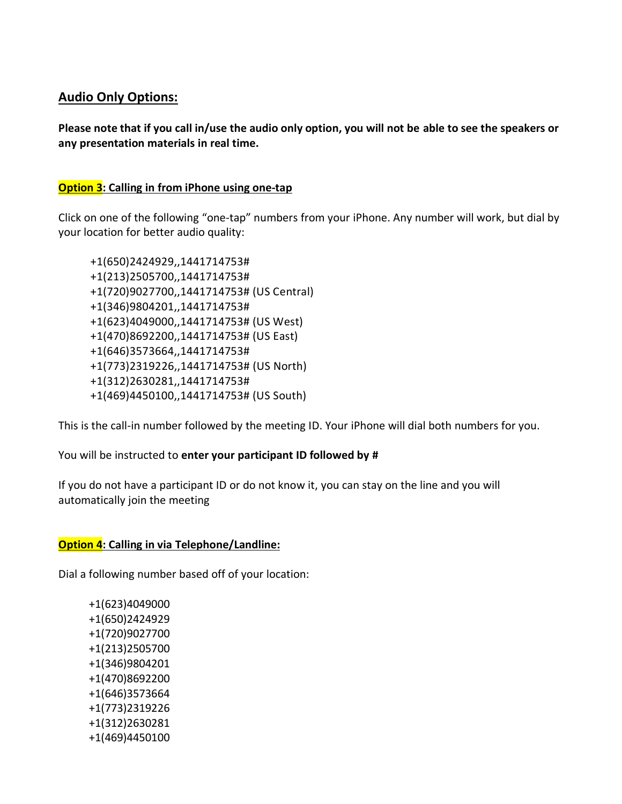## **Audio Only Options:**

**Please note that if you call in/use the audio only option, you will not be able to see the speakers or any presentation materials in real time.**

#### **Option 3: Calling in from iPhone using one-tap**

Click on one of the following "one-tap" numbers from your iPhone. Any number will work, but dial by your location for better audio quality:

+1(650)2424929,,1441714753# +1(213)2505700,,1441714753# +1(720)9027700,,1441714753# (US Central) +1(346)9804201,,1441714753# +1(623)4049000,,1441714753# (US West) +1(470)8692200,,1441714753# (US East) +1(646)3573664,,1441714753# +1(773)2319226,,1441714753# (US North) +1(312)2630281,,1441714753# +1(469)4450100,,1441714753# (US South)

This is the call-in number followed by the meeting ID. Your iPhone will dial both numbers for you.

You will be instructed to **enter your participant ID followed by #**

If you do not have a participant ID or do not know it, you can stay on the line and you will automatically join the meeting

#### **Option 4: Calling in via Telephone/Landline:**

Dial a following number based off of your location:

 +1(623)4049000 +1(650)2424929 +1(720)9027700 +1(213)2505700 +1(346)9804201 +1(470)8692200 +1(646)3573664 +1(773)2319226 +1(312)2630281 +1(469)4450100